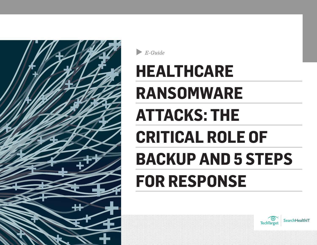<span id="page-0-0"></span>

B-Guide

# **HEALTHCARE RANSOMWARE ATTACKS: THE CRITICAL ROLE OF BACKUP AND 5 STEPS FOR RESPONSE**



**SearchHealthIT**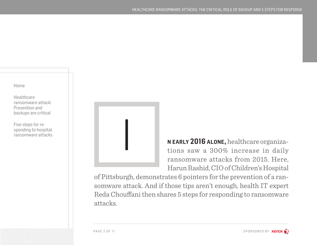**Healthcare** [ransomware attack:](#page-2-0)  [Prevention and](#page-2-0)  [backups are critical](#page-2-0)

[Five steps for re](#page-6-0)[sponding to hospital](#page-6-0)  [ransomware attacks](#page-6-0)



**n early 2016 alone,** healthcare organizations saw a 300% increase in daily ransomware attacks from 2015. Here, Harun Rashid, CIO of Children's Hospital

of Pittsburgh, demonstrates 6 pointers for the prevention of a ransomware attack. And if those tips aren't enough, health IT expert Reda Chouffani then shares 5 steps for responding to ransomware attacks.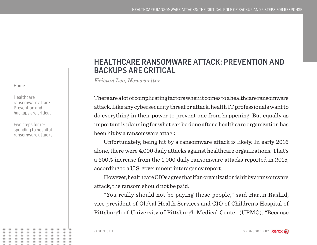<span id="page-2-0"></span>**Healthcare** ransomware attack: Prevention and backups are critical

[Five steps for re](#page-6-0)[sponding to hospital](#page-6-0)  [ransomware attacks](#page-6-0)

## HEALTHCARE RANSOMWARE ATTACK: PREVENTION AND BACKUPS ARE CRITICAL

*Kristen Lee, News writer*

There are a lot of complicating factors when it comes to a healthcare ransomware attack. Like any cybersecurity threat or attack, health IT professionals want to do everything in their power to prevent one from happening. But equally as important is planning for what can be done after a healthcare organization has been hit by a ransomware attack.

Unfortunately, being hit by a ransomware attack is likely. In early 2016 alone, there were 4,000 daily attacks against healthcare organizations. That's a 300% increase from the 1,000 daily ransomware attacks reported in 2015, according to a U.S. government interagency report.

However, healthcare CIOs agree that if an organization is hit by a ransomware attack, the ransom should not be paid.

"You really should not be paying these people," said Harun Rashid, vice president of Global Health Services and CIO of Children's Hospital of Pittsburgh of University of Pittsburgh Medical Center (UPMC). "Because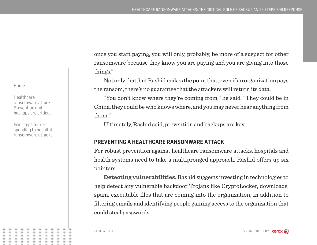**Healthcare** [ransomware attack:](#page-2-0)  [Prevention and](#page-2-0)  [backups are critical](#page-2-0)

[Five steps for re](#page-6-0)[sponding to hospital](#page-6-0)  [ransomware attacks](#page-6-0)

once you start paying, you will only, probably, be more of a suspect for other ransomware because they know you are paying and you are giving into those things."

Not only that, but Rashid makes the point that, even if an organization pays the ransom, there's no guarantee that the attackers will return its data.

"You don't know where they're coming from," he said. "They could be in China, they could be who knows where, and you may never hear anything from them."

Ultimately, Rashid said, prevention and backups are key.

#### **PREVENTING A HEALTHCARE RANSOMWARE ATTACK**

For robust prevention against healthcare ransomware attacks, hospitals and health systems need to take a multipronged approach. Rashid offers up six pointers.

**Detecting vulnerabilities.** Rashid suggests investing in technologies to help detect any vulnerable backdoor Trojans like CryptoLocker, downloads, spam, executable files that are coming into the organization, in addition to filtering emails and identifying people gaining access to the organization that could steal passwords.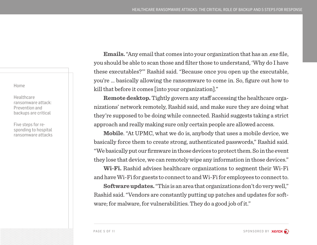**Healthcare** [ransomware attack:](#page-2-0)  [Prevention and](#page-2-0)  [backups are critical](#page-2-0)

[Five steps for re](#page-6-0)[sponding to hospital](#page-6-0)  [ransomware attacks](#page-6-0)

**Emails.** "Any email that comes into your organization that has an .exe file, you should be able to scan those and filter those to understand, 'Why do I have these executables?'" Rashid said. "Because once you open up the executable, you're … basically allowing the ransomware to come in. So, figure out how to kill that before it comes [into your organization]."

**Remote desktop.** Tightly govern any staff accessing the healthcare organizations' network remotely, Rashid said, and make sure they are doing what they're supposed to be doing while connected. Rashid suggests taking a strict approach and really making sure only certain people are allowed access.

**Mobile**. "At UPMC, what we do is, anybody that uses a mobile device, we basically force them to create strong, authenticated passwords," Rashid said. "We basically put our firmware in those devices to protect them. So in the event they lose that device, we can remotely wipe any information in those devices."

**Wi-Fi.** Rashid advises healthcare organizations to segment their Wi-Fi and have Wi-Fi for guests to connect to and Wi-Fi for employees to connect to.

**Software updates.** "This is an area that organizations don't do very well," Rashid said. "Vendors are constantly putting up patches and updates for software; for malware, for vulnerabilities. They do a good job of it."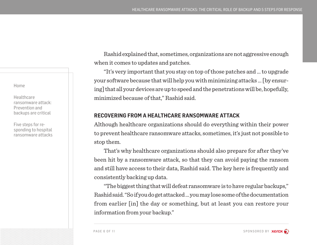**Healthcare** [ransomware attack:](#page-2-0)  [Prevention and](#page-2-0)  [backups are critical](#page-2-0)

[Five steps for re](#page-6-0)[sponding to hospital](#page-6-0)  [ransomware attacks](#page-6-0)

Rashid explained that, sometimes, organizations are not aggressive enough when it comes to updates and patches.

"It's very important that you stay on top of those patches and … to upgrade your software because that will help you with minimizing attacks … [by ensuring] that all your devices are up to speed and the penetrations will be, hopefully, minimized because of that," Rashid said.

## **RECOVERING FROM A HEALTHCARE RANSOMWARE ATTACK**

Although healthcare organizations should do everything within their power to prevent healthcare ransomware attacks, sometimes, it's just not possible to stop them.

That's why healthcare organizations should also prepare for after they've been hit by a ransomware attack, so that they can avoid paying the ransom and still have access to their data, Rashid said. The key here is frequently and consistently backing up data.

"The biggest thing that will defeat ransomware is to have regular backups," Rashid said. "So if you do get attacked … you may lose some of the documentation from earlier [in] the day or something, but at least you can restore your information from your backup."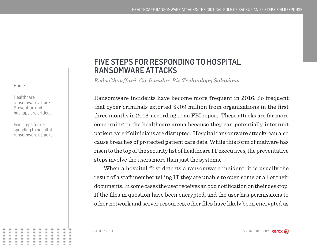<span id="page-6-0"></span>**Healthcare** [ransomware attack:](#page-2-0)  [Prevention and](#page-2-0)  [backups are critical](#page-2-0)

Five steps for responding to hospital ransomware attacks

# FIVE STEPS FOR RESPONDING TO HOSPITAL RANSOMWARE ATTACKS

*Reda Chouffani, Co-founder, Biz Technology Solutions* 

Ransomware incidents have become more frequent in 2016. So frequent that cyber criminals extorted \$209 million from organizations in the first three months in 2016, according to an FBI report. These attacks are far more concerning in the healthcare arena because they can potentially interrupt patient care if clinicians are disrupted. Hospital ransomware attacks can also cause breaches of protected patient care data. While this form of malware has risen to the top of the security list of healthcare IT executives, the preventative steps involve the users more than just the systems.

When a hospital first detects a ransomware incident, it is usually the result of a staff member telling IT they are unable to open some or all of their documents. In some cases the user receives an odd notification on their desktop. If the files in question have been encrypted, and the user has permissions to other network and server resources, other files have likely been encrypted as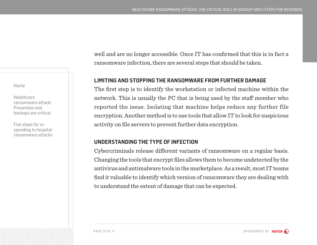**Healthcare** [ransomware attack:](#page-2-0)  [Prevention and](#page-2-0)  [backups are critical](#page-2-0)

[Five steps for re](#page-6-0)[sponding to hospital](#page-6-0)  [ransomware attacks](#page-6-0) well and are no longer accessible. Once IT has confirmed that this is in fact a ransomware infection, there are several steps that should be taken.

## **LIMITING AND STOPPING THE RANSOMWARE FROM FURTHER DAMAGE**

The first step is to identify the workstation or infected machine within the network. This is usually the PC that is being used by the staff member who reported the issue. Isolating that machine helps reduce any further file encryption. Another method is to use tools that allow IT to look for suspicious activity on file servers to prevent further data encryption.

## **UNDERSTANDING THE TYPE OF INFECTION**

Cybercriminals release different variants of ransomware on a regular basis. Changing the tools that encrypt files allows them to become undetected by the antivirus and antimalware tools in the marketplace. As a result, most IT teams find it valuable to identify which version of ransomware they are dealing with to understand the extent of damage that can be expected.

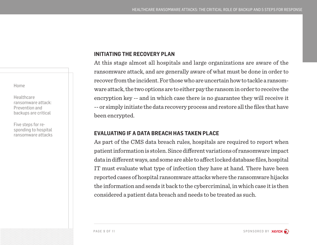**Healthcare** [ransomware attack:](#page-2-0)  [Prevention and](#page-2-0)  [backups are critical](#page-2-0)

[Five steps for re](#page-6-0)[sponding to hospital](#page-6-0)  [ransomware attacks](#page-6-0)

### **INITIATING THE RECOVERY PLAN**

At this stage almost all hospitals and large organizations are aware of the ransomware attack, and are generally aware of what must be done in order to recover from the incident. For those who are uncertain how to tackle a ransomware attack, the two options are to either pay the ransom in order to receive the encryption key -- and in which case there is no guarantee they will receive it -- or simply initiate the data recovery process and restore all the files that have been encrypted.

#### **EVALUATING IF A DATA BREACH HAS TAKEN PLACE**

As part of the CMS data breach rules, hospitals are required to report when patient information is stolen. Since different variations of ransomware impact data in different ways, and some are able to affect locked database files, hospital IT must evaluate what type of infection they have at hand. There have been reported cases of hospital ransomware attacks where the ransomware hijacks the information and sends it back to the cybercriminal, in which case it is then considered a patient data breach and needs to be treated as such.

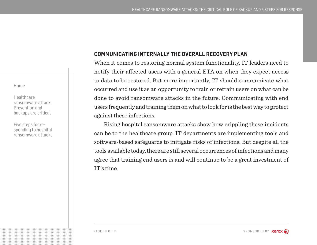**Healthcare** [ransomware attack:](#page-2-0)  [Prevention and](#page-2-0)  [backups are critical](#page-2-0)

[Five steps for re](#page-6-0)[sponding to hospital](#page-6-0)  [ransomware attacks](#page-6-0)

## **COMMUNICATING INTERNALLY THE OVERALL RECOVERY PLAN**

When it comes to restoring normal system functionality, IT leaders need to notify their affected users with a general ETA on when they expect access to data to be restored. But more importantly, IT should communicate what occurred and use it as an opportunity to train or retrain users on what can be done to avoid ransomware attacks in the future. Communicating with end users frequently and training them on what to look for is the best way to protect against these infections.

Rising hospital ransomware attacks show how crippling these incidents can be to the healthcare group. IT departments are implementing tools and software-based safeguards to mitigate risks of infections. But despite all the tools available today, there are still several occurrences of infections and many agree that training end users is and will continue to be a great investment of IT's time.